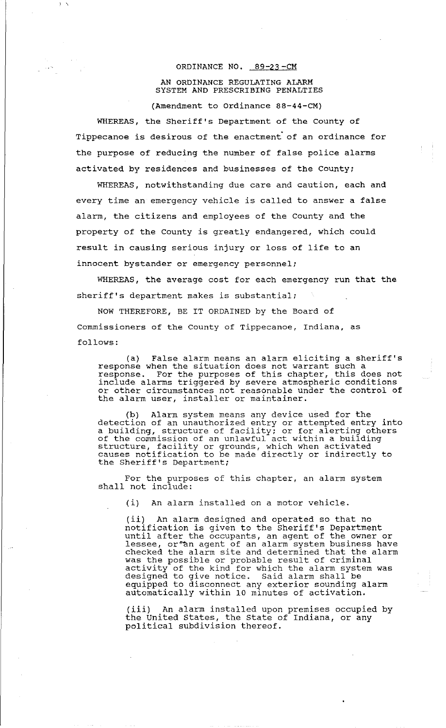## ORDINANCE NO. 89-23-CM

## AN ORDINANCE REGULATING ALARM SYSTEM AND PRESCRIBING PENALTIES

(Amendment to Ordinance 88-44-CM)

WHEREAS, the Sheriff's Department of the County of Tippecanoe is desirous of the enactment of an ordinance for the purpose of reducing the number of false police alarms activated by residences and businesses of the County;

WHEREAS, notwithstanding due care and caution, each and every time an emergency vehicle is called to answer a false alarm, the citizens and employees of the County and the property of the County is greatly endangered, which could result in causing serious injury or loss of life to an innocent bystander or emergency personnel;

WHEREAS, the average cost for each emergency run that the sheriff's department makes is substantial;

NOW THEREFORE, BE IT ORDAINED by the Board of Commissioners of the County of Tippecanoe, Indiana, as follows:

(a) False alarm means an alarm eliciting a sheriff's response when the situation does not warrant such a response when the situation does not warrant such a include alarms triggered by severe atmospheric conditions or other circumstances not reasonable under the control of the alarm user, installer or maintainer.

(b) Alarm system means any device used for the detection of an unauthorized entry or attempted entry into a building, structure of facility; or for alerting others of the commission of an unlawful act within a building structure, facility or grounds, which when activated causes notification to be made directly or indirectly to the Sheriff's Department;

For the purposes of this chapter, an alarm system shall not include:

(i) An alarm installed on a motor vehicle.

(ii) An alarm designed and operated so that no notification is given to the Sheriff's Department until after the occupants, an agent of the owner or ancia dicci ene ecoapance, un agenc of ene embre of checked the alarm site and determined that the alarm was the possible or probable result of criminal was the possible of probable result of criminal<br>activity of the kind for which the alarm system was designed to give notice. Said alarm shall be equipped to disconnect any exterior sounding alarm automatically within 10 minutes of activation.

(iii) An alarm installed upon premises occupied by the United States, the state of Indiana, or any political subdivision thereof.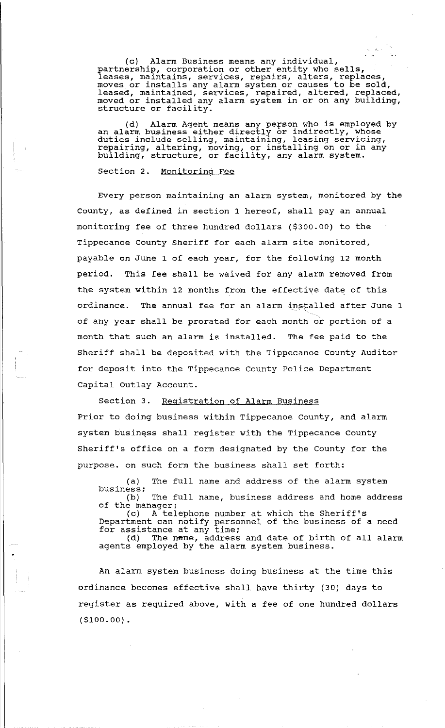(c) Alarm Business means any individual, partnership, corporation or other entity who sells, parthership, corporation or other entity who sells,<br>leases, maintains, services, repairs, alters, replaces, moves or installs any alarm system or causes to be sold, leased, maintained, services, repaired, altered, replaced, moved or installed any alarm system in or on any building, structure or facility.

(d) Alarm Agent means any person who is employed by an alarm business either directly or indirectly, whose duties include selling, maintaining, leasing servicing, repairing, altering, moving, or installing on or in any building, structure, or facility, any alarm system.

Section 2. Monitoring Fee

Every person maintaining an alarm system, monitored by the County, as defined in section 1 hereof, shall pay an annual monitoring fee of three hundred dollars (\$300.00) to the Tippecanoe County Sheriff for each alarm site monitored, payable on June 1 of each year, for the following 12 month period. This fee shall be waived for any alarm removed from the system within 12 months from the effective date of this ordinance. The annual fee for an alarm installed after June 1 of any year shall be prorated for each month or portion of a month that such an alarm is installed. The fee paid to the Sheriff shall be deposited with the Tippecanoe County Auditor for deposit into the Tippecanoe County Police Department Capital Outlay Account.

Section 3. Registration of Alarm Business Prior to doing business within Tippecanoe County, and alarm system business shall register with the Tippecanoe County Sheriff's office on a form designated by the County for the purpose. on such form the business shall set forth:

(a) The full name and address of the alarm system business;<br>(b) The full name, business address and home address

of the manager;<br>(c) A tel A telephone number at which the Sheriff's Department can notify personnel of the business of a need bepartment can notify person<br>for assistance at any time; siscance at any time,<br>(d) The n<del>a</del>me, address and date of birth of all alarm

agents employed by the alarm system business.

An alarm system business doing business at the time this ordinance becomes effective shall have thirty (30) days to register as required above, with a fee of one hundred dollars (\$100.00).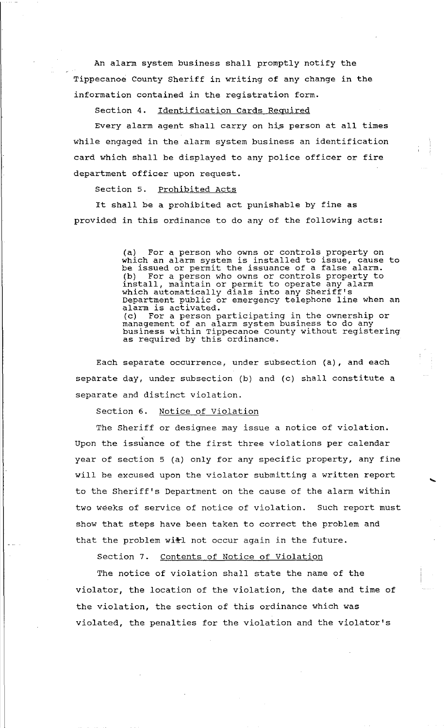An alarm system business shall promptly notify the Tippecanoe County Sheriff in writing of any change in the information contained in the registration form.

Section 4. Identification Cards Required

Every alarm agent shall carry on his person at all times while engaged in the alarm system business an identification card which shall be displayed to any police officer or fire department officer upon request.

Section 5. Prohibited Acts

It shall be a prohibited act punishable by fine as provided in this ordinance to do any of the following acts:

> (a) For a person who owns or controls property on (a) for a person who owns or concrois propercy on<br>which an alarm system is installed to issue, cause to which an alarm system is installed to issue, cause (b) For a person who owns or controls property to install, maintain or permit to operate any alarm which automatically dials into any Sheriff's which ducomatically didis life any Sheriff s alarm is activated. (c) For a person participating in the ownership or management of an alarm system business to do any management of an aidim system business to do any<br>business within Tippecanoe County without registering as required by this ordinance.

Each separate occurrence, under subsection (a), and each separate day, under subsection (b) and (c) shall constitute a separate and distinct violation.

Section 6. Notice of Violation

The Sheriff or designee may issue a notice of violation. Upon the issuance of the first three violations per calendar year of section 5 (a) only for any specific property, any fine will be excused upon the violator submitting a written report to the Sheriff's Department on the cause of the alarm within two weeks of service of notice of violation. Such report must show that steps have been taken to correct the problem and that the problem with not occur again in the future.

....

Section 7. Contents of Notice of Violation

The notice of violation shall state the name of the violator, the location of the violation, the date and time of the violation, the section of this ordinance which was violated, the penalties for the violation and the violator's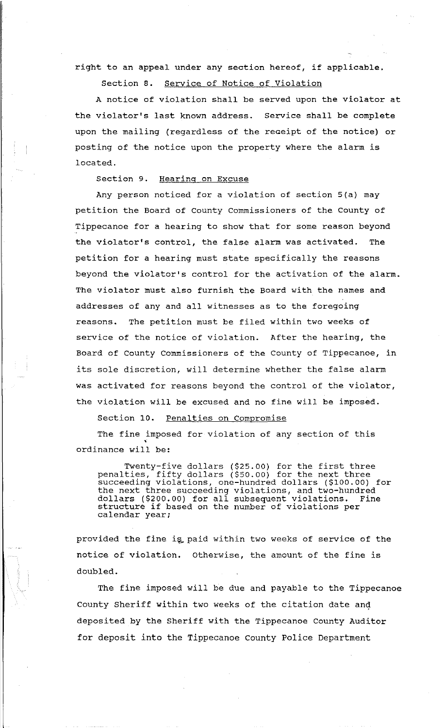right to an appeal under any section hereof, if applicable.

Section 8. Service of Notice of Violation

A notice of violation shall be served upon the violator at the violator's last known address. Service shall be complete upon the mailing (regardless of the receipt of the notice) or posting of the notice upon the property where the alarm is located.

Section 9. Hearing on Excuse

Any person noticed for a violation of section 5(a) may petition the Board of County Commissioners of the County of Tippecanoe for a hearing to show that for some reason beyond the violator's control, the false alarm was activated. The petition for a hearing must state specifically the reasons beyond the violator's control for the activation of the alarm. The violator must also furnish the Board with the names and addresses of any and all witnesses as to the foregoing reasons. The petition must be filed within two weeks of service of the notice of violation. After the hearing, the Board of County Commissioners of the County of Tippecanoe, in its sole discretion, will determine whether the false alarm was activated for reasons beyond the control of the violator, the violation will be excused and no fine will be imposed.

Section 10. Penalties on Compromise

The fine imposed for violation of any section of this ordinance will be:

Twenty-five dollars (\$25.00) for the first three penalties, fifty dollars (\$50.00) for the next three succeeding violations, one-hundred dollars (\$100.00) for the next three succeeding violations, and two-hundred dollars (\$200.00) for all subsequent violations. Fine aoilars (5200.00) for all subsequent violations.<br>structure if based on the number of violations per calendar year;

provided the fine is paid within two weeks of service of the notice of violation. otherwise, the amount of the fine is doubled.

The fine imposed will be due and payable to the Tippecanoe County Sheriff within two weeks of the citation date and deposited by the Sheriff with the Tippecanoe County Auditor for deposit into the Tippecanoe County Police Department